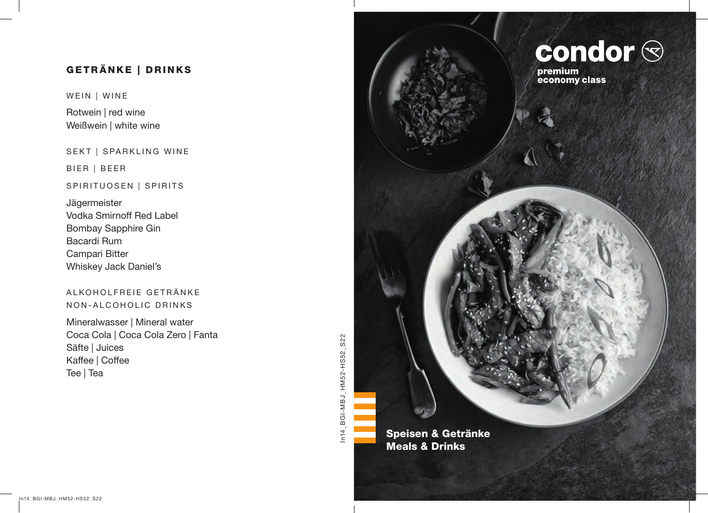# GETRÄNKE | DRINKS

WEIN | WINE

Rotwein | red wine Weißwein | white wine

SEKT | SPARKLING WINE

BIER | BEER

## SPIRITUOSEN | SPIRITS

Jägermeister Vodka Smirnoff Red Label Bombay Sapphire Gin Bacardi Rum Campari Bitter Whiskey Jack Daniel's

## ALKOHOLFREIE GETRÄNKE NON-ALCOHOLIC DRINKS

Mineralwasser | Mineral water Coca Cola | Coca Cola Zero | Fanta Säfte | Juices Kaffee | Coffee Tee | Tea

In14\_BGI-MBJ\_HM52-HS52\_S22 In14\_BGI-MBJ\_HM52-HS52\_S22